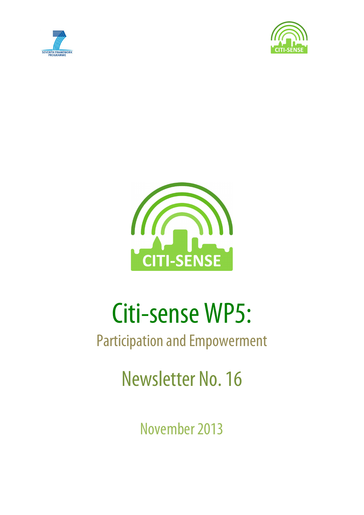





# Citi-sense WP5:

## Participation and Empowerment

Newsletter No. 16

November 2013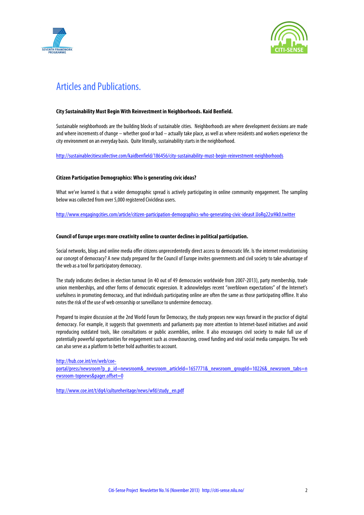



### Articles and Publications.

#### **City Sustainability Must Begin With Reinvestment in Neighborhoods. Kaid Benfield.**

Sustainable neighborhoods are the building blocks of sustainable cities. Neighborhoods are where development decisions are made and where increments of change – whether good or bad – actually take place, as well as where residents and workers experience the city environment on an everyday basis. Quite literally, sustainability starts in the neighborhood.

http://sustainablecitiescollective.com/kaidbenfield/186456/city-sustainability-must-begin-reinvestment-neighborhoods

#### **Citizen Participation Demographics: Who is generating civic ideas?**

What we've learned is that a wider demographic spread is actively participating in online community engagement. The sampling below was collected from over 5,000 registered CivicIdeas users.

http://www.engagingcities.com/article/citizen-participation-demographics-who-generating-civic-ideas#.UoRg22srHk0.twitter

#### **Council of Europe urges more creativity online to counter declines in political participation.**

Social networks, blogs and online media offer citizens unprecedentedly direct access to democratic life. Is the internet revolutionising our concept of democracy? A new study prepared for the Council of Europe invites governments and civil society to take advantage of the web as a tool for participatory democracy.

The study indicates declines in election turnout (in 40 out of 49 democracies worldwide from 2007-2013), party membership, trade union memberships, and other forms of democratic expression. It acknowledges recent "overblown expectations" of the Internet's usefulness in promoting democracy, and that individuals participating online are often the same as those participating offline. It also notes the risk of the use of web censorship or surveillance to undermine democracy.

Prepared to inspire discussion at the 2nd World Forum for Democracy, the study proposes new ways forward in the practice of digital democracy. For example, it suggests that governments and parliaments pay more attention to Internet-based initiatives and avoid reproducing outdated tools, like consultations or public assemblies, online. Il also encourages civil society to make full use of potentially powerful opportunities for engagement such as crowdsourcing, crowd funding and viral social media campaigns. The web can also serve as a platform to better hold authorities to account.

http://hub.coe.int/en/web/coe-

portal/press/newsroom?p\_p\_id=newsroom&\_newsroom\_articleId=1657771&\_newsroom\_groupId=10226&\_newsroom\_tabs=n ewsroom-topnews&pager.offset=0

http://www.coe.int/t/dg4/cultureheritage/news/wfd/study\_en.pdf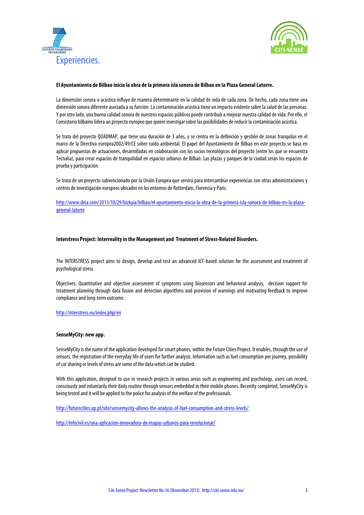



#### **El Ayuntamiento de Bilbao inicia la obra de la primera isla sonora de Bilbao en la Plaza General Latorre.**

La dimensión sonora o acústica influye de manera determinante en la calidad de vida de cada zona. De hecho, cada zona tiene una dimensión sonora diferente asociada a su función. La contaminación acústica tiene un impacto evidente sobre la salud de las personas. Y por otro lado, una buena calidad sonora de nuestros espacios públicos puede contribuir a mejorar nuestra calidad de vida. Por ello, el Consistorio bilbaíno lidera un proyecto europeo que quiere investigar sobre las posibilidades de reducir la contaminación acústica.

Se trata del proyecto QUADMAP, que tiene una duración de 3 años, y se centra en la definición y gestión de zonas tranquilas en el marco de la Directiva europea2002/49/CE sobre ruido ambiental. El papel del Ayuntamiento de Bilbao en este proyecto se basa en aplicar propuestas de actuaciones, desarrolladas en colaboración con los socios tecnológicos del proyecto (entre los que se encuentra Tecnalia), para crear espacios de tranquilidad en espacios urbanos de Bilbao. Las plazas y parques de la ciudad serán los espacios de prueba y participación.

Se trata de un proyecto subvencionado por la Unión Europea que servirá para intercambiar experiencias con otras administraciones y centros de investigación europeos ubicados en los entornos de Rotterdam, Florencia y Paris.

http://www.deia.com/2013/10/29/bizkaia/bilbao/el-ayuntamiento-inicia-la-obra-de-la-primera-isla-sonora-de-bilbao-en-la-plazageneral-latorre

#### **Interstress Project: Interreality in the Management and Treatment of Stress-Related Disorders.**

The INTERSTRESS project aims to design, develop and test an advanced ICT-based solution for the assessment and treatment of psychological stress.

Objectives: Quantitative and objective assessment of symptoms using biosensors and behavioral analysis, decision support for treatment planning through data fusion and detection algorithms and provision of warnings and motivating feedback to improve compliance and long-term outcome.

#### http://interstress.eu/index.php/en

#### **SenseMyCity: new app.**

SenseMyCity is the name of the application developed for smart phones, within the Future Cities Project. It enables, through the use of sensors, the registration of the everyday life of users for further analysis. Information such as fuel consumption per journey, possibility of car sharing or levels of stress are some of the data which can be studied.

With this application, designed to use in research projects in various areas such as engineering and psychology, users can record. consciously and voluntarily their daily routine through sensors embedded in their mobile phones. Recently completed, SenseMyCity is being tested and it will be applied to the police for analysis of the welfare of the professionals.

http://futurecities.up.pt/site/sensemycity-allows-the-analysis-of-fuel-consumption-and-stress-levels/

http://infocivil.es/una-aplicacion-innovadora-de-mapas-urbanos-para-revolucionar/